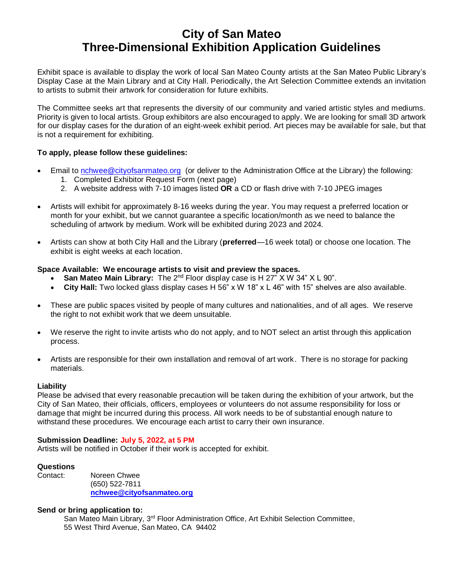# **City of San Mateo Three-Dimensional Exhibition Application Guidelines**

Exhibit space is available to display the work of local San Mateo County artists at the San Mateo Public Library's Display Case at the Main Library and at City Hall. Periodically, the Art Selection Committee extends an invitation to artists to submit their artwork for consideration for future exhibits.

The Committee seeks art that represents the diversity of our community and varied artistic styles and mediums. Priority is given to local artists. Group exhibitors are also encouraged to apply. We are looking for small 3D artwork for our display cases for the duration of an eight-week exhibit period. Art pieces may be available for sale, but that is not a requirement for exhibiting.

## **To apply, please follow these guidelines:**

- Email to [nchwee@cityofsanmateo.org](mailto:nchwee@cityofsanmateo.org) (or deliver to the Administration Office at the Library) the following:
	- 1. Completed Exhibitor Request Form (next page)
	- 2. A website address with 7-10 images listed **OR** a CD or flash drive with 7-10 JPEG images
- Artists will exhibit for approximately 8-16 weeks during the year. You may request a preferred location or month for your exhibit, but we cannot guarantee a specific location/month as we need to balance the scheduling of artwork by medium. Work will be exhibited during 2023 and 2024.
- Artists can show at both City Hall and the Library (**preferred**—16 week total) or choose one location. The exhibit is eight weeks at each location.

# **Space Available: We encourage artists to visit and preview the spaces.**

- San Mateo Main Library: The 2<sup>nd</sup> Floor display case is H 27" X W 34" X L 90".
- **City Hall:** Two locked glass display cases H 56" x W 18" x L 46" with 15" shelves are also available.
- These are public spaces visited by people of many cultures and nationalities, and of all ages. We reserve the right to not exhibit work that we deem unsuitable.
- We reserve the right to invite artists who do not apply, and to NOT select an artist through this application process.
- Artists are responsible for their own installation and removal of art work. There is no storage for packing materials.

## **Liability**

Please be advised that every reasonable precaution will be taken during the exhibition of your artwork, but the City of San Mateo, their officials, officers, employees or volunteers do not assume responsibility for loss or damage that might be incurred during this process. All work needs to be of substantial enough nature to withstand these procedures. We encourage each artist to carry their own insurance.

# **Submission Deadline: July 5, 2022, at 5 PM**

Artists will be notified in October if their work is accepted for exhibit.

## **Questions**

Contact: Noreen Chwee (650) 522-7811 **[nchwee@cityofsanmateo.org](mailto:nchwee@cityofsanmateo.org)**

## **Send or bring application to:**

San Mateo Main Library, 3<sup>rd</sup> Floor Administration Office, Art Exhibit Selection Committee, 55 West Third Avenue, San Mateo, CA 94402